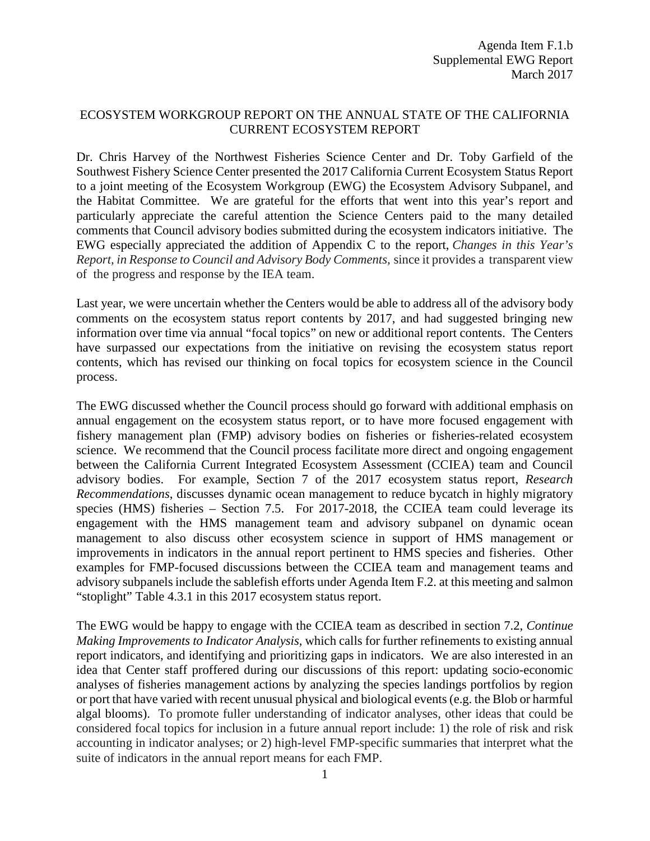## ECOSYSTEM WORKGROUP REPORT ON THE ANNUAL STATE OF THE CALIFORNIA CURRENT ECOSYSTEM REPORT

Dr. Chris Harvey of the Northwest Fisheries Science Center and Dr. Toby Garfield of the Southwest Fishery Science Center presented the 2017 California Current Ecosystem Status Report to a joint meeting of the Ecosystem Workgroup (EWG) the Ecosystem Advisory Subpanel, and the Habitat Committee. We are grateful for the efforts that went into this year's report and particularly appreciate the careful attention the Science Centers paid to the many detailed comments that Council advisory bodies submitted during the ecosystem indicators initiative. The EWG especially appreciated the addition of Appendix C to the report, *Changes in this Year's Report, in Response to Council and Advisory Body Comments,* since it provides a transparent view of the progress and response by the IEA team.

Last year, we were uncertain whether the Centers would be able to address all of the advisory body comments on the ecosystem status report contents by 2017, and had suggested bringing new information over time via annual "focal topics" on new or additional report contents. The Centers have surpassed our expectations from the initiative on revising the ecosystem status report contents, which has revised our thinking on focal topics for ecosystem science in the Council process.

The EWG discussed whether the Council process should go forward with additional emphasis on annual engagement on the ecosystem status report, or to have more focused engagement with fishery management plan (FMP) advisory bodies on fisheries or fisheries-related ecosystem science. We recommend that the Council process facilitate more direct and ongoing engagement between the California Current Integrated Ecosystem Assessment (CCIEA) team and Council advisory bodies. For example, Section 7 of the 2017 ecosystem status report, *Research Recommendations*, discusses dynamic ocean management to reduce bycatch in highly migratory species (HMS) fisheries – Section 7.5. For 2017-2018, the CCIEA team could leverage its engagement with the HMS management team and advisory subpanel on dynamic ocean management to also discuss other ecosystem science in support of HMS management or improvements in indicators in the annual report pertinent to HMS species and fisheries. Other examples for FMP-focused discussions between the CCIEA team and management teams and advisory subpanels include the sablefish efforts under Agenda Item F.2. at this meeting and salmon "stoplight" Table 4.3.1 in this 2017 ecosystem status report.

The EWG would be happy to engage with the CCIEA team as described in section 7.2, *Continue Making Improvements to Indicator Analysis,* which calls for further refinements to existing annual report indicators, and identifying and prioritizing gaps in indicators. We are also interested in an idea that Center staff proffered during our discussions of this report: updating socio-economic analyses of fisheries management actions by analyzing the species landings portfolios by region or port that have varied with recent unusual physical and biological events(e.g. the Blob or harmful algal blooms). To promote fuller understanding of indicator analyses, other ideas that could be considered focal topics for inclusion in a future annual report include: 1) the role of risk and risk accounting in indicator analyses; or 2) high-level FMP-specific summaries that interpret what the suite of indicators in the annual report means for each FMP.